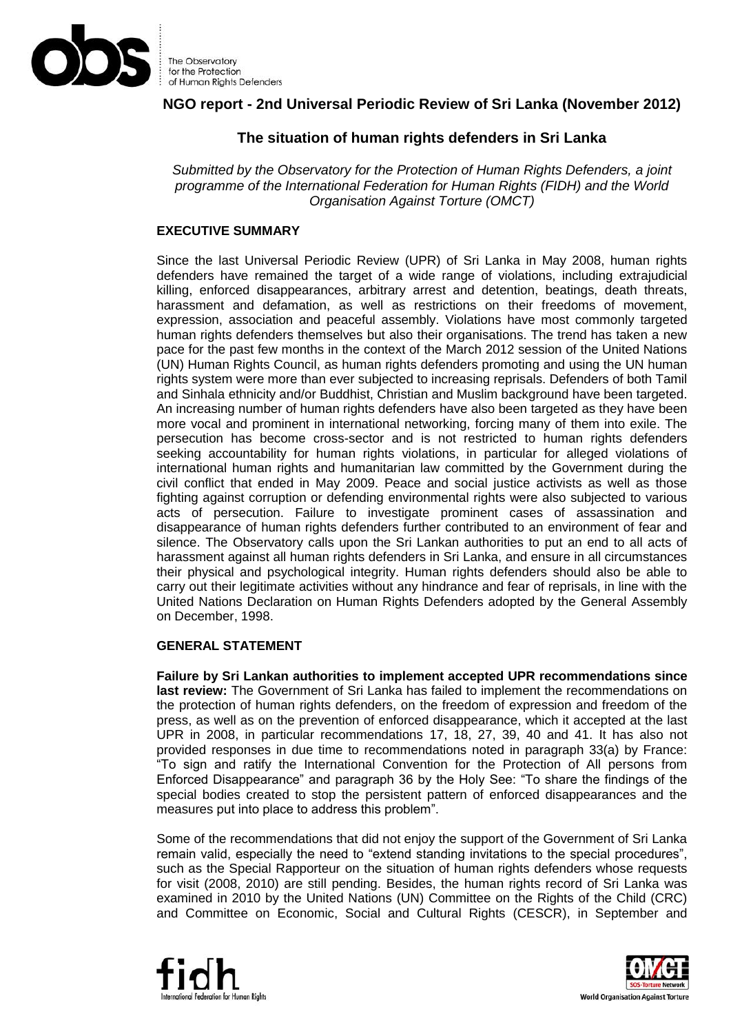

# **NGO report - 2nd Universal Periodic Review of Sri Lanka (November 2012)**

# **The situation of human rights defenders in Sri Lanka**

*Submitted by the Observatory for the Protection of Human Rights Defenders, a joint programme of the International Federation for Human Rights (FIDH) and the World Organisation Against Torture (OMCT)*

## **EXECUTIVE SUMMARY**

Since the last Universal Periodic Review (UPR) of Sri Lanka in May 2008, human rights defenders have remained the target of a wide range of violations, including extrajudicial killing, enforced disappearances, arbitrary arrest and detention, beatings, death threats, harassment and defamation, as well as restrictions on their freedoms of movement, expression, association and peaceful assembly. Violations have most commonly targeted human rights defenders themselves but also their organisations. The trend has taken a new pace for the past few months in the context of the March 2012 session of the United Nations (UN) Human Rights Council, as human rights defenders promoting and using the UN human rights system were more than ever subjected to increasing reprisals. Defenders of both Tamil and Sinhala ethnicity and/or Buddhist, Christian and Muslim background have been targeted. An increasing number of human rights defenders have also been targeted as they have been more vocal and prominent in international networking, forcing many of them into exile. The persecution has become cross-sector and is not restricted to human rights defenders seeking accountability for human rights violations, in particular for alleged violations of international human rights and humanitarian law committed by the Government during the civil conflict that ended in May 2009. Peace and social justice activists as well as those fighting against corruption or defending environmental rights were also subjected to various acts of persecution. Failure to investigate prominent cases of assassination and disappearance of human rights defenders further contributed to an environment of fear and silence. The Observatory calls upon the Sri Lankan authorities to put an end to all acts of harassment against all human rights defenders in Sri Lanka, and ensure in all circumstances their physical and psychological integrity. Human rights defenders should also be able to carry out their legitimate activities without any hindrance and fear of reprisals, in line with the United Nations Declaration on Human Rights Defenders adopted by the General Assembly on December, 1998.

#### **GENERAL STATEMENT**

**Failure by Sri Lankan authorities to implement accepted UPR recommendations since last review:** The Government of Sri Lanka has failed to implement the recommendations on the protection of human rights defenders, on the freedom of expression and freedom of the press, as well as on the prevention of enforced disappearance, which it accepted at the last UPR in 2008, in particular recommendations 17, 18, 27, 39, 40 and 41. It has also not provided responses in due time to recommendations noted in paragraph 33(a) by France: "To sign and ratify the International Convention for the Protection of All persons from Enforced Disappearance" and paragraph 36 by the Holy See: "To share the findings of the special bodies created to stop the persistent pattern of enforced disappearances and the measures put into place to address this problem".

Some of the recommendations that did not enjoy the support of the Government of Sri Lanka remain valid, especially the need to "extend standing invitations to the special procedures", such as the Special Rapporteur on the situation of human rights defenders whose requests for visit (2008, 2010) are still pending. Besides, the human rights record of Sri Lanka was examined in 2010 by the United Nations (UN) Committee on the Rights of the Child (CRC) and Committee on Economic, Social and Cultural Rights (CESCR), in September and



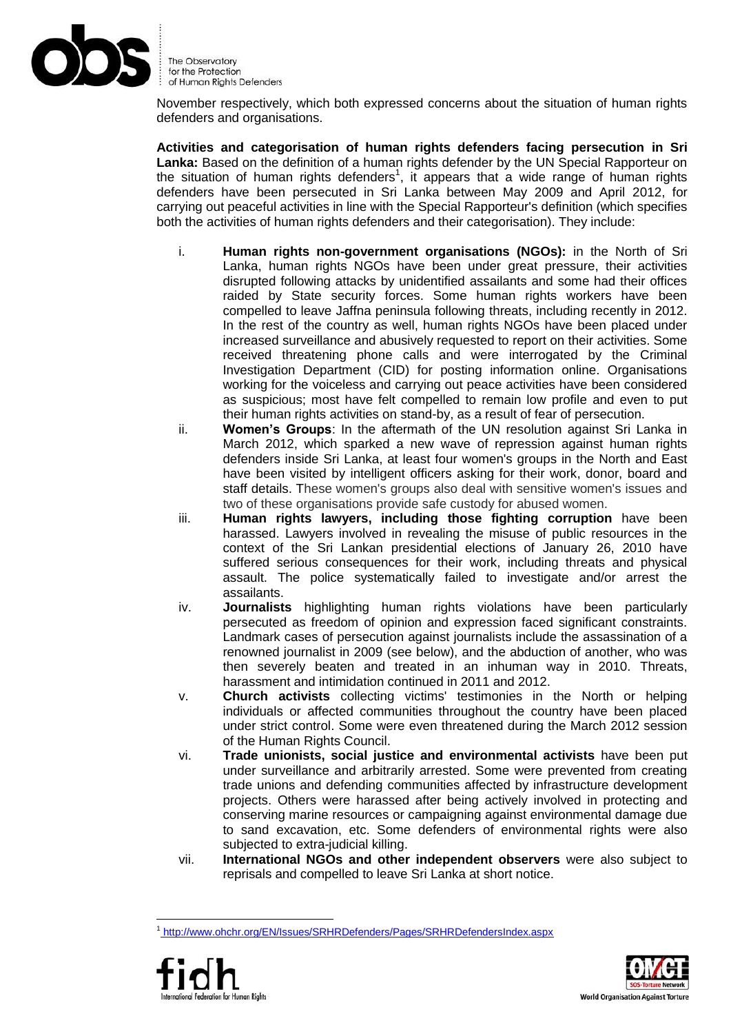

November respectively, which both expressed concerns about the situation of human rights defenders and organisations.

**Activities and categorisation of human rights defenders facing persecution in Sri**  Lanka: Based on the definition of a human rights defender by the UN Special Rapporteur on the situation of human rights defenders<sup>1</sup>, it appears that a wide range of human rights defenders have been persecuted in Sri Lanka between May 2009 and April 2012, for carrying out peaceful activities in line with the Special Rapporteur's definition (which specifies both the activities of human rights defenders and their categorisation). They include:

- i. **Human rights non-government organisations (NGOs):** in the North of Sri Lanka, human rights NGOs have been under great pressure, their activities disrupted following attacks by unidentified assailants and some had their offices raided by State security forces. Some human rights workers have been compelled to leave Jaffna peninsula following threats, including recently in 2012. In the rest of the country as well, human rights NGOs have been placed under increased surveillance and abusively requested to report on their activities. Some received threatening phone calls and were interrogated by the Criminal Investigation Department (CID) for posting information online. Organisations working for the voiceless and carrying out peace activities have been considered as suspicious; most have felt compelled to remain low profile and even to put their human rights activities on stand-by, as a result of fear of persecution.
- ii. **Women's Groups**: In the aftermath of the UN resolution against Sri Lanka in March 2012, which sparked a new wave of repression against human rights defenders inside Sri Lanka, at least four women's groups in the North and East have been visited by intelligent officers asking for their work, donor, board and staff details. These women's groups also deal with sensitive women's issues and two of these organisations provide safe custody for abused women.
- iii. **Human rights lawyers, including those fighting corruption** have been harassed. Lawyers involved in revealing the misuse of public resources in the context of the Sri Lankan presidential elections of January 26, 2010 have suffered serious consequences for their work, including threats and physical assault. The police systematically failed to investigate and/or arrest the assailants.
- iv. **Journalists** highlighting human rights violations have been particularly persecuted as freedom of opinion and expression faced significant constraints. Landmark cases of persecution against journalists include the assassination of a renowned journalist in 2009 (see below), and the abduction of another, who was then severely beaten and treated in an inhuman way in 2010. Threats, harassment and intimidation continued in 2011 and 2012.
- v. **Church activists** collecting victims' testimonies in the North or helping individuals or affected communities throughout the country have been placed under strict control. Some were even threatened during the March 2012 session of the Human Rights Council.
- vi. **Trade unionists, social justice and environmental activists** have been put under surveillance and arbitrarily arrested. Some were prevented from creating trade unions and defending communities affected by infrastructure development projects. Others were harassed after being actively involved in protecting and conserving marine resources or campaigning against environmental damage due to sand excavation, etc. Some defenders of environmental rights were also subjected to extra-judicial killing.
- vii. **International NGOs and other independent observers** were also subject to reprisals and compelled to leave Sri Lanka at short notice.

<sup>&</sup>lt;u>.</u> 1 <http://www.ohchr.org/EN/Issues/SRHRDefenders/Pages/SRHRDefendersIndex.aspx>



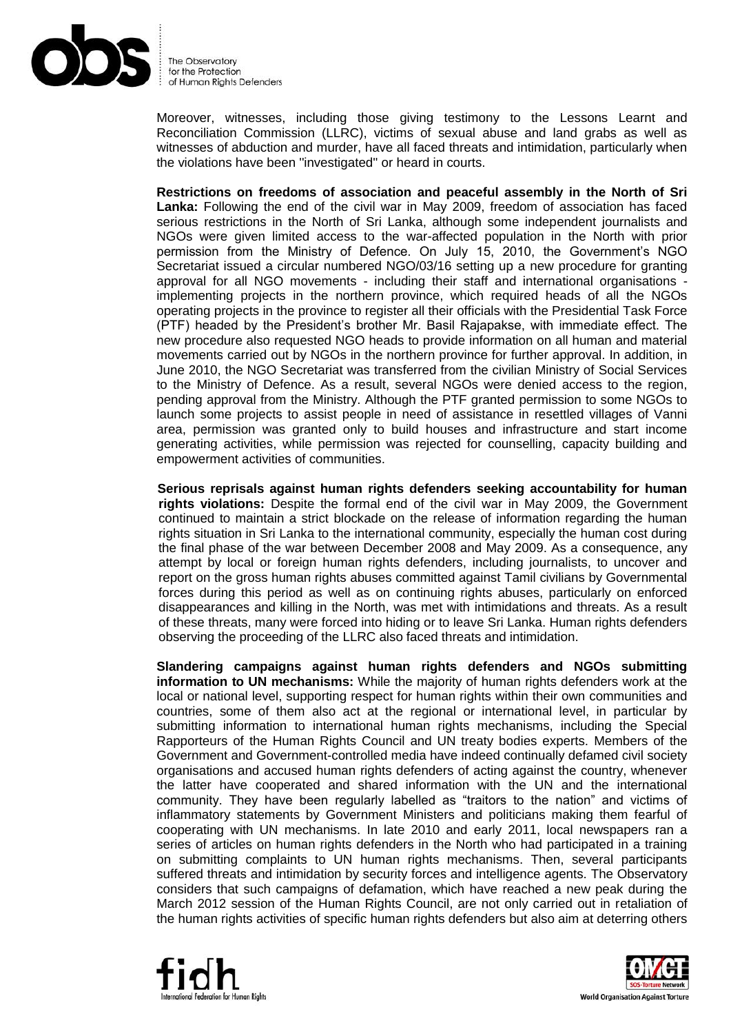

Moreover, witnesses, including those giving testimony to the Lessons Learnt and Reconciliation Commission (LLRC), victims of sexual abuse and land grabs as well as witnesses of abduction and murder, have all faced threats and intimidation, particularly when the violations have been ''investigated'' or heard in courts.

**Restrictions on freedoms of association and peaceful assembly in the North of Sri Lanka:** Following the end of the civil war in May 2009, freedom of association has faced serious restrictions in the North of Sri Lanka, although some independent journalists and NGOs were given limited access to the war-affected population in the North with prior permission from the Ministry of Defence. On July 15, 2010, the Government's NGO Secretariat issued a circular numbered NGO/03/16 setting up a new procedure for granting approval for all NGO movements - including their staff and international organisations implementing projects in the northern province, which required heads of all the NGOs operating projects in the province to register all their officials with the Presidential Task Force (PTF) headed by the President's brother Mr. Basil Rajapakse, with immediate effect. The new procedure also requested NGO heads to provide information on all human and material movements carried out by NGOs in the northern province for further approval. In addition, in June 2010, the NGO Secretariat was transferred from the civilian Ministry of Social Services to the Ministry of Defence. As a result, several NGOs were denied access to the region, pending approval from the Ministry. Although the PTF granted permission to some NGOs to launch some projects to assist people in need of assistance in resettled villages of Vanni area, permission was granted only to build houses and infrastructure and start income generating activities, while permission was rejected for counselling, capacity building and empowerment activities of communities.

**Serious reprisals against human rights defenders seeking accountability for human rights violations:** Despite the formal end of the civil war in May 2009, the Government continued to maintain a strict blockade on the release of information regarding the human rights situation in Sri Lanka to the international community, especially the human cost during the final phase of the war between December 2008 and May 2009. As a consequence, any attempt by local or foreign human rights defenders, including journalists, to uncover and report on the gross human rights abuses committed against Tamil civilians by Governmental forces during this period as well as on continuing rights abuses, particularly on enforced disappearances and killing in the North, was met with intimidations and threats. As a result of these threats, many were forced into hiding or to leave Sri Lanka. Human rights defenders observing the proceeding of the LLRC also faced threats and intimidation.

**Slandering campaigns against human rights defenders and NGOs submitting information to UN mechanisms:** While the majority of human rights defenders work at the local or national level, supporting respect for human rights within their own communities and countries, some of them also act at the regional or international level, in particular by submitting information to international human rights mechanisms, including the Special Rapporteurs of the Human Rights Council and UN treaty bodies experts. Members of the Government and Government-controlled media have indeed continually defamed civil society organisations and accused human rights defenders of acting against the country, whenever the latter have cooperated and shared information with the UN and the international community. They have been regularly labelled as "traitors to the nation" and victims of inflammatory statements by Government Ministers and politicians making them fearful of cooperating with UN mechanisms. In late 2010 and early 2011, local newspapers ran a series of articles on human rights defenders in the North who had participated in a training on submitting complaints to UN human rights mechanisms. Then, several participants suffered threats and intimidation by security forces and intelligence agents. The Observatory considers that such campaigns of defamation, which have reached a new peak during the March 2012 session of the Human Rights Council, are not only carried out in retaliation of the human rights activities of specific human rights defenders but also aim at deterring others



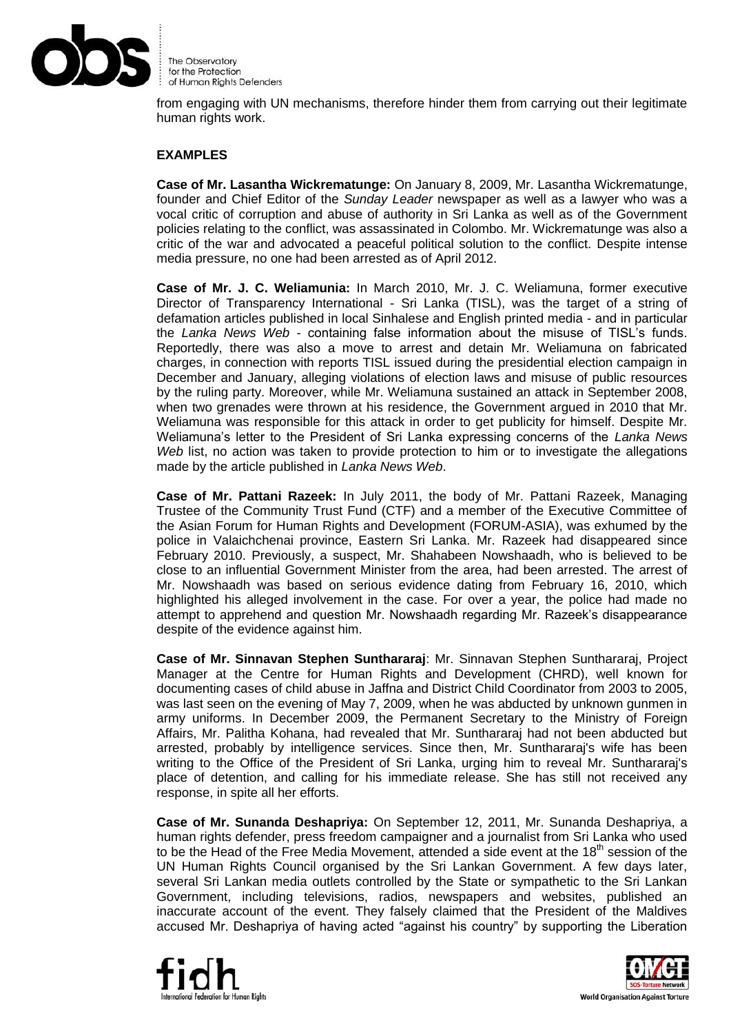

from engaging with UN mechanisms, therefore hinder them from carrying out their legitimate human rights work.

#### **EXAMPLES**

**Case of Mr. Lasantha Wickrematunge:** On January 8, 2009, Mr. Lasantha Wickrematunge, founder and Chief Editor of the *Sunday Leader* newspaper as well as a lawyer who was a vocal critic of corruption and abuse of authority in Sri Lanka as well as of the Government policies relating to the conflict, was assassinated in Colombo. Mr. Wickrematunge was also a critic of the war and advocated a peaceful political solution to the conflict. Despite intense media pressure, no one had been arrested as of April 2012.

**Case of Mr. J. C. Weliamunia:** In March 2010, Mr. J. C. Weliamuna, former executive Director of Transparency International - Sri Lanka (TISL), was the target of a string of defamation articles published in local Sinhalese and English printed media - and in particular the *Lanka News Web* - containing false information about the misuse of TISL's funds. Reportedly, there was also a move to arrest and detain Mr. Weliamuna on fabricated charges, in connection with reports TISL issued during the presidential election campaign in December and January, alleging violations of election laws and misuse of public resources by the ruling party. Moreover, while Mr. Weliamuna sustained an attack in September 2008, when two grenades were thrown at his residence, the Government argued in 2010 that Mr. Weliamuna was responsible for this attack in order to get publicity for himself. Despite Mr. Weliamuna's letter to the President of Sri Lanka expressing concerns of the *Lanka News Web* list, no action was taken to provide protection to him or to investigate the allegations made by the article published in *Lanka News Web*.

**Case of Mr. Pattani Razeek:** In July 2011, the body of Mr. Pattani Razeek, Managing Trustee of the Community Trust Fund (CTF) and a member of the Executive Committee of the Asian Forum for Human Rights and Development (FORUM-ASIA), was exhumed by the police in Valaichchenai province, Eastern Sri Lanka. Mr. Razeek had disappeared since February 2010. Previously, a suspect, Mr. Shahabeen Nowshaadh, who is believed to be close to an influential Government Minister from the area, had been arrested. The arrest of Mr. Nowshaadh was based on serious evidence dating from February 16, 2010, which highlighted his alleged involvement in the case. For over a year, the police had made no attempt to apprehend and question Mr. Nowshaadh regarding Mr. Razeek's disappearance despite of the evidence against him.

**Case of Mr. Sinnavan Stephen Sunthararaj**: Mr. Sinnavan Stephen Sunthararaj, Project Manager at the Centre for Human Rights and Development (CHRD), well known for documenting cases of child abuse in Jaffna and District Child Coordinator from 2003 to 2005, was last seen on the evening of May 7, 2009, when he was abducted by unknown gunmen in army uniforms. In December 2009, the Permanent Secretary to the Ministry of Foreign Affairs, Mr. Palitha Kohana, had revealed that Mr. Sunthararaj had not been abducted but arrested, probably by intelligence services. Since then, Mr. Sunthararaj's wife has been writing to the Office of the President of Sri Lanka, urging him to reveal Mr. Sunthararaj's place of detention, and calling for his immediate release. She has still not received any response, in spite all her efforts.

**Case of Mr. Sunanda Deshapriya:** On September 12, 2011, Mr. Sunanda Deshapriya, a human rights defender, press freedom campaigner and a journalist from Sri Lanka who used to be the Head of the Free Media Movement, attended a side event at the  $18<sup>th</sup>$  session of the UN Human Rights Council organised by the Sri Lankan Government. A few days later, several Sri Lankan media outlets controlled by the State or sympathetic to the Sri Lankan Government, including televisions, radios, newspapers and websites, published an inaccurate account of the event. They falsely claimed that the President of the Maldives accused Mr. Deshapriya of having acted "against his country" by supporting the Liberation